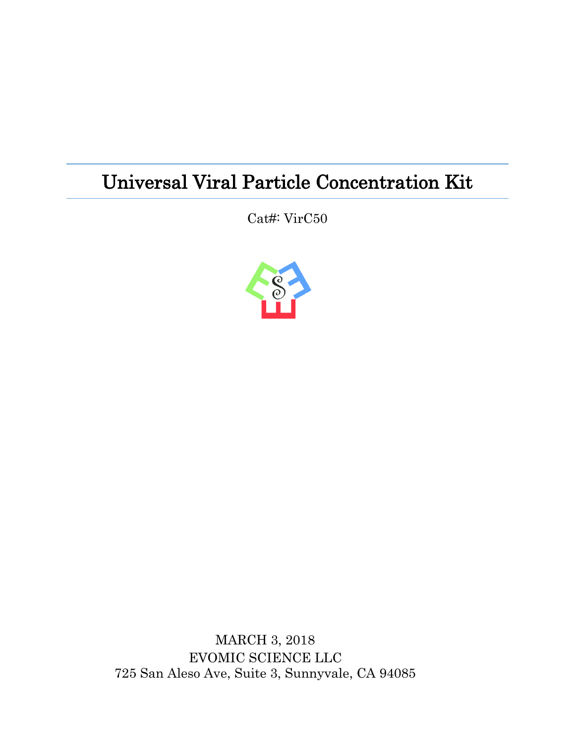## Universal Viral Particle Concentration Kit

Cat#: VirC50



MARCH 3, 2018 EVOMIC SCIENCE LLC 725 San Aleso Ave, Suite 3, Sunnyvale, CA 94085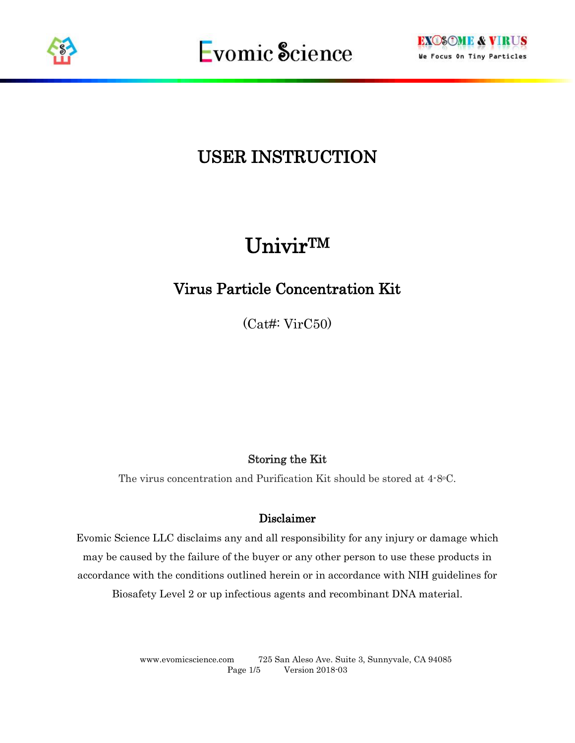



## USER INSTRUCTION

# UnivirTM

## Virus Particle Concentration Kit

(Cat#: VirC50)

#### Storing the Kit

The virus concentration and Purification Kit should be stored at 4-8°C.

#### Disclaimer

Evomic Science LLC disclaims any and all responsibility for any injury or damage which may be caused by the failure of the buyer or any other person to use these products in accordance with the conditions outlined herein or in accordance with NIH guidelines for Biosafety Level 2 or up infectious agents and recombinant DNA material.

> www.evomicscience.com 725 San Aleso Ave. Suite 3, Sunnyvale, CA 94085 Page 1/5 Version 2018-03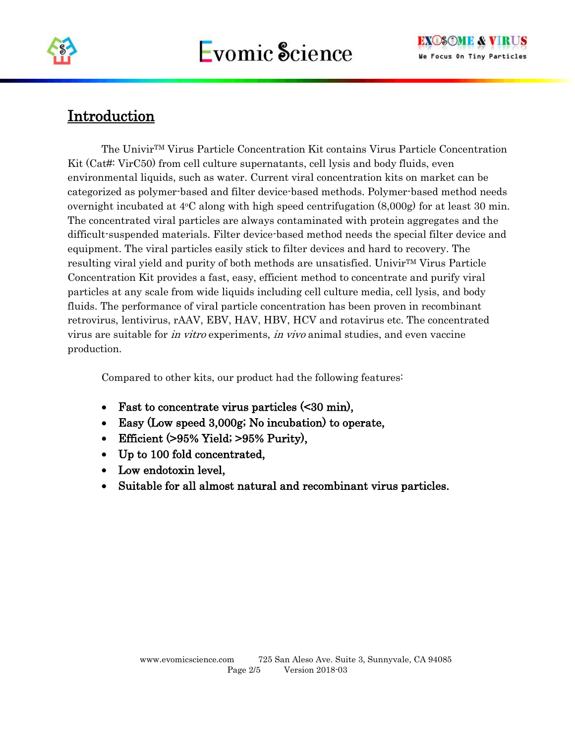

### Introduction

The UnivirTM Virus Particle Concentration Kit contains Virus Particle Concentration Kit (Cat#: VirC50) from cell culture supernatants, cell lysis and body fluids, even environmental liquids, such as water. Current viral concentration kits on market can be categorized as polymer-based and filter device-based methods. Polymer-based method needs overnight incubated at  $4^{\circ}$ C along with high speed centrifugation  $(8,000g)$  for at least 30 min. The concentrated viral particles are always contaminated with protein aggregates and the difficult-suspended materials. Filter device-based method needs the special filter device and equipment. The viral particles easily stick to filter devices and hard to recovery. The resulting viral yield and purity of both methods are unsatisfied. UnivirTM Virus Particle Concentration Kit provides a fast, easy, efficient method to concentrate and purify viral particles at any scale from wide liquids including cell culture media, cell lysis, and body fluids. The performance of viral particle concentration has been proven in recombinant retrovirus, lentivirus, rAAV, EBV, HAV, HBV, HCV and rotavirus etc. The concentrated virus are suitable for in vitro experiments, in vivo animal studies, and even vaccine production.

Compared to other kits, our product had the following features:

- Fast to concentrate virus particles (<30 min),
- Easy (Low speed 3,000g; No incubation) to operate,
- Efficient (>95% Yield; >95% Purity),
- Up to 100 fold concentrated,
- Low endotoxin level.
- Suitable for all almost natural and recombinant virus particles.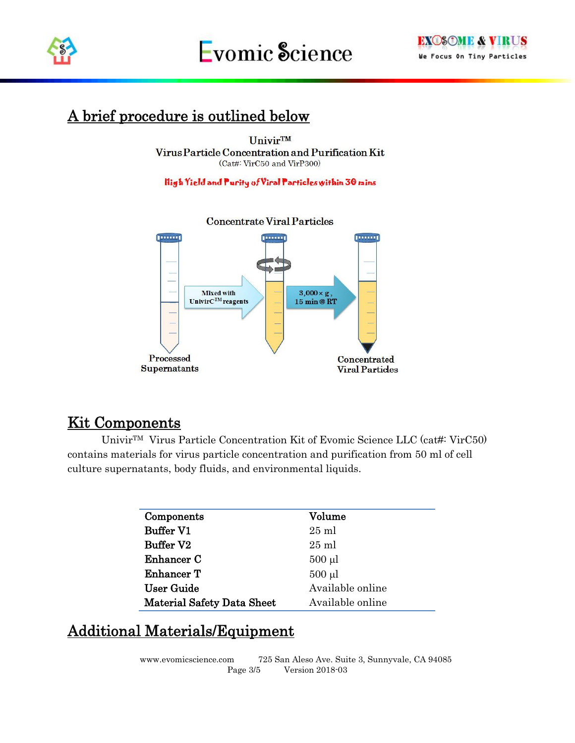

### A brief procedure is outlined below

**UnivirTM** Virus Particle Concentration and Purification Kit (Cat#: VirC50 and VirP300)

High Yield and Purity of Viral Particles within 30 mins



### Kit Components

UnivirTM Virus Particle Concentration Kit of Evomic Science LLC (cat#: VirC50) contains materials for virus particle concentration and purification from 50 ml of cell culture supernatants, body fluids, and environmental liquids.

| Components                        | Volume           |
|-----------------------------------|------------------|
| <b>Buffer V1</b>                  | $25 \text{ ml}$  |
| Buffer V2                         | $25 \text{ ml}$  |
| Enhancer C                        | $500 \mu l$      |
| Enhancer T                        | $500 \mu l$      |
| <b>User Guide</b>                 | Available online |
| <b>Material Safety Data Sheet</b> | Available online |

### Additional Materials/Equipment

www.evomicscience.com 725 San Aleso Ave. Suite 3, Sunnyvale, CA 94085 Page 3/5 Version 2018-03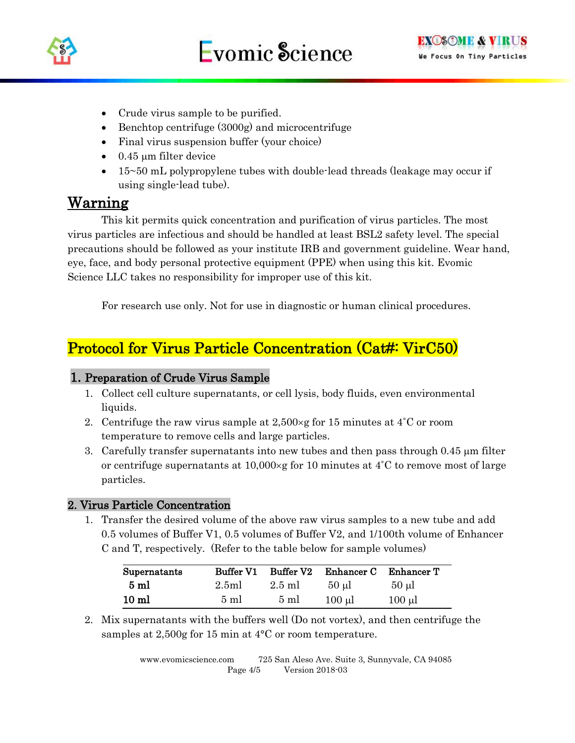

- Crude virus sample to be purified.
- Benchtop centrifuge (3000g) and microcentrifuge
- Final virus suspension buffer (your choice)
- $\bullet$  0.45 µm filter device
- 15~50 mL polypropylene tubes with double-lead threads (leakage may occur if using single-lead tube).

#### Warning

This kit permits quick concentration and purification of virus particles. The most virus particles are infectious and should be handled at least BSL2 safety level. The special precautions should be followed as your institute IRB and government guideline. Wear hand, eye, face, and body personal protective equipment (PPE) when using this kit. Evomic Science LLC takes no responsibility for improper use of this kit.

For research use only. Not for use in diagnostic or human clinical procedures.

### Protocol for Virus Particle Concentration (Cat#: VirC50)

#### 1. Preparation of Crude Virus Sample

- 1. Collect cell culture supernatants, or cell lysis, body fluids, even environmental liquids.
- 2. Centrifuge the raw virus sample at  $2.500 \times g$  for 15 minutes at 4<sup>°</sup>C or room temperature to remove cells and large particles.
- 3. Carefully transfer supernatants into new tubes and then pass through 0.45  $\mu$ m filter or centrifuge supernatants at  $10,000 \times g$  for 10 minutes at 4°C to remove most of large particles.

#### 2. Virus Particle Concentration

1. Transfer the desired volume of the above raw virus samples to a new tube and add 0.5 volumes of Buffer V1, 0.5 volumes of Buffer V2, and 1/100th volume of Enhancer C and T, respectively. (Refer to the table below for sample volumes)

| Supernatants     | <b>Buffer V1</b> | Buffer V2      | Enhancer C | Enhancer T  |
|------------------|------------------|----------------|------------|-------------|
| $5\ \mathrm{ml}$ | 2.5ml            | $2.5$ ml       | $50 \mu$   | $50 \mu$ l  |
| 10 <sub>ml</sub> | $5 \text{ ml}$   | $5 \text{ ml}$ | $100 \mu$  | $100 \mu l$ |

2. Mix supernatants with the buffers well (Do not vortex), and then centrifuge the samples at 2,500g for 15 min at 4<sup>o</sup>C or room temperature.

> www.evomicscience.com 725 San Aleso Ave. Suite 3, Sunnyvale, CA 94085 Page 4/5 Version 2018-03